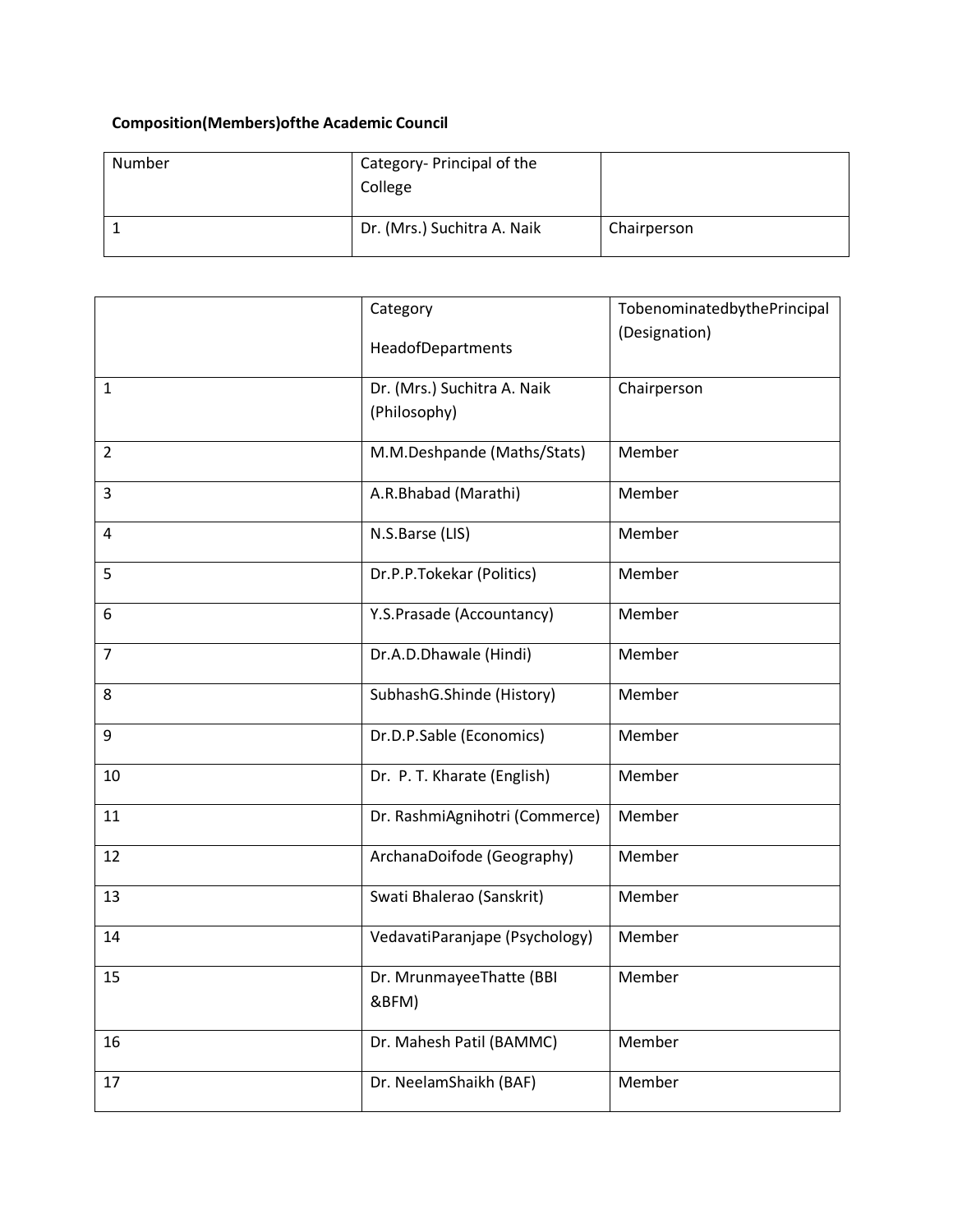## **Composition(Members)ofthe Academic Council**

| Number | Category- Principal of the<br>College |             |
|--------|---------------------------------------|-------------|
|        | Dr. (Mrs.) Suchitra A. Naik           | Chairperson |

|                | Category                          | TobenominatedbythePrincipal |
|----------------|-----------------------------------|-----------------------------|
|                | HeadofDepartments                 | (Designation)               |
|                |                                   |                             |
| $\mathbf{1}$   | Dr. (Mrs.) Suchitra A. Naik       | Chairperson                 |
|                | (Philosophy)                      |                             |
| $\overline{2}$ | M.M.Deshpande (Maths/Stats)       | Member                      |
|                |                                   |                             |
| 3              | A.R.Bhabad (Marathi)              | Member                      |
| 4              | N.S.Barse (LIS)                   | Member                      |
| 5              | Dr.P.P.Tokekar (Politics)         | Member                      |
| 6              | Y.S.Prasade (Accountancy)         | Member                      |
| $\overline{7}$ | Dr.A.D.Dhawale (Hindi)            | Member                      |
| 8              | SubhashG.Shinde (History)         | Member                      |
| 9              | Dr.D.P.Sable (Economics)          | Member                      |
| 10             | Dr. P. T. Kharate (English)       | Member                      |
| 11             | Dr. RashmiAgnihotri (Commerce)    | Member                      |
| 12             | ArchanaDoifode (Geography)        | Member                      |
| 13             | Swati Bhalerao (Sanskrit)         | Member                      |
| 14             | VedavatiParanjape (Psychology)    | Member                      |
| 15             | Dr. MrunmayeeThatte (BBI<br>&BFM) | Member                      |
| 16             | Dr. Mahesh Patil (BAMMC)          | Member                      |
| 17             | Dr. NeelamShaikh (BAF)            | Member                      |